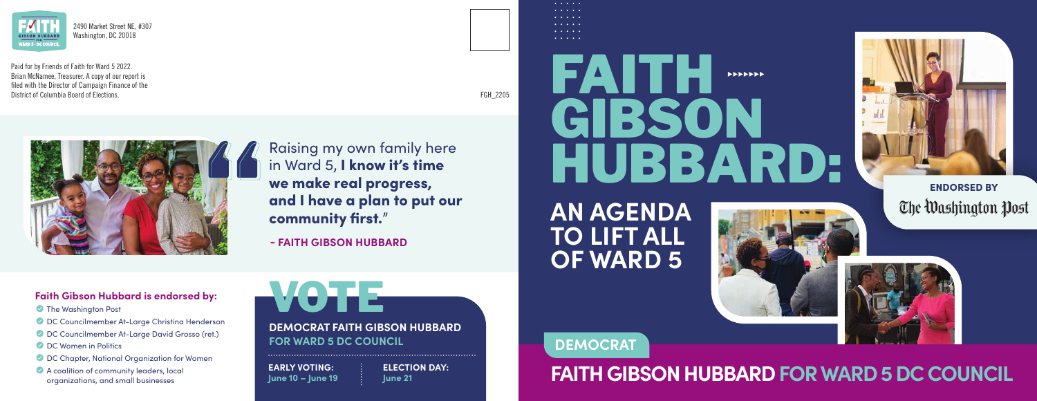**FAITH GIBSON HUBBARD FOR WARD 5 DC COUNCIL**



# FAITH H GIBSON HUBBARD:



### **AN AGENDA TO LIFT ALL OF WARD 5**



**- FAITH GIBSON HUBBARD**

VOTE **DEMOCRAT FAITH GIBSON HUBBARD FOR WARD 5 DC COUNCIL**

**EARLY VOTING: June 10 – June 19**

**ELECTION DAY: June 21**

#### $\mathbf{A}$  and  $\mathbf{A}$  and  $\mathbf{A}$  $\sim$   $\sim$   $\sim$   $\sim$   $\sim$  $\sim$   $\sim$   $\sim$   $\sim$   $\sim$ *Charles Committee*

Raising my own family here in Ward 5, I know it's time we make real progress, and I have a plan to put our community first."

- **Y** The Washington Post
- **C** DC Councilmember At-Large Christina Henderson
- Y DC Councilmember At-Large David Grosso (ret.)
- **C** DC Women in Politics
- **Y** DC Chapter, National Organization for Women
- **A coalition of community leaders, local** organizations, and small businesses

**Faith Gibson Hubbard is endorsed by:**





Paid for by Friends of Faith for Ward 5 2022. Brian McNamee, Treasurer. A copy of our report is filed with the Director of Campaign Finance of the District of Columbia Board of Elections.





2490 Market Street NE, #307 Washington, DC 20018

FGH\_2205